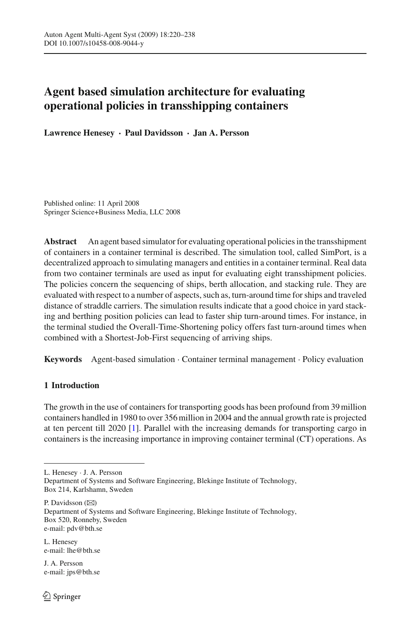# **Agent based simulation architecture for evaluating operational policies in transshipping containers**

**Lawrence Henesey · Paul Davidsson · Jan A. Persson**

Published online: 11 April 2008 Springer Science+Business Media, LLC 2008

**Abstract** An agent based simulator for evaluating operational policies in the transshipment of containers in a container terminal is described. The simulation tool, called SimPort, is a decentralized approach to simulating managers and entities in a container terminal. Real data from two container terminals are used as input for evaluating eight transshipment policies. The policies concern the sequencing of ships, berth allocation, and stacking rule. They are evaluated with respect to a number of aspects, such as, turn-around time for ships and traveled distance of straddle carriers. The simulation results indicate that a good choice in yard stacking and berthing position policies can lead to faster ship turn-around times. For instance, in the terminal studied the Overall-Time-Shortening policy offers fast turn-around times when combined with a Shortest-Job-First sequencing of arriving ships.

**Keywords** Agent-based simulation · Container terminal management · Policy evaluation

# **1 Introduction**

The growth in the use of containers for transporting goods has been profound from 39 million containers handled in 1980 to over 356 million in 2004 and the annual growth rate is projected at ten percent till 2020 [\[1\]](#page-17-0). Parallel with the increasing demands for transporting cargo in containers is the increasing importance in improving container terminal (CT) operations. As

L. Henesey · J. A. Persson

P. Davidsson (⊠) Department of Systems and Software Engineering, Blekinge Institute of Technology, Box 520, Ronneby, Sweden e-mail: pdv@bth.se

L. Henesey e-mail: lhe@bth.se

J. A. Persson e-mail: jps@bth.se

Department of Systems and Software Engineering, Blekinge Institute of Technology, Box 214, Karlshamn, Sweden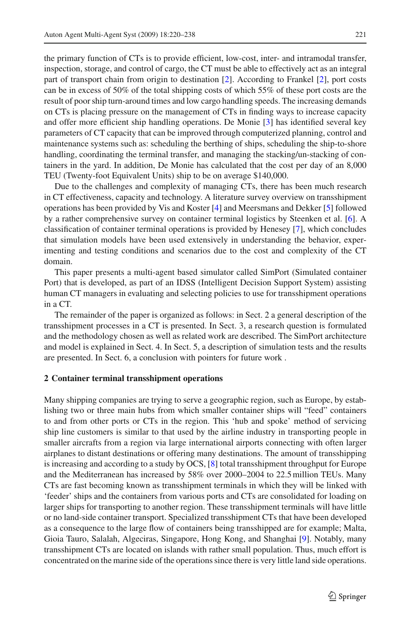the primary function of CTs is to provide efficient, low-cost, inter- and intramodal transfer, inspection, storage, and control of cargo, the CT must be able to effectively act as an integral part of transport chain from origin to destination [\[2\]](#page-17-1). According to Frankel [\[2](#page-17-1)], port costs can be in excess of 50% of the total shipping costs of which 55% of these port costs are the result of poor ship turn-around times and low cargo handling speeds. The increasing demands on CTs is placing pressure on the management of CTs in finding ways to increase capacity and offer more efficient ship handling operations. De Monie [\[3\]](#page-17-2) has identified several key parameters of CT capacity that can be improved through computerized planning, control and maintenance systems such as: scheduling the berthing of ships, scheduling the ship-to-shore handling, coordinating the terminal transfer, and managing the stacking/un-stacking of containers in the yard. In addition, De Monie has calculated that the cost per day of an 8,000 TEU (Twenty-foot Equivalent Units) ship to be on average \$140,000.

Due to the challenges and complexity of managing CTs, there has been much research in CT effectiveness, capacity and technology. A literature survey overview on transshipment operations has been provided by Vis and Koster [\[4\]](#page-17-3) and Meersmans and Dekker [\[5](#page-17-4)] followed by a rather comprehensive survey on container terminal logistics by Steenken et al. [\[6\]](#page-17-5). A classification of container terminal operations is provided by Henesey [\[7\]](#page-17-6), which concludes that simulation models have been used extensively in understanding the behavior, experimenting and testing conditions and scenarios due to the cost and complexity of the CT domain.

This paper presents a multi-agent based simulator called SimPort (Simulated container Port) that is developed, as part of an IDSS (Intelligent Decision Support System) assisting human CT managers in evaluating and selecting policies to use for transshipment operations in a CT.

The remainder of the paper is organized as follows: in Sect. 2 a general description of the transshipment processes in a CT is presented. In Sect. 3, a research question is formulated and the methodology chosen as well as related work are described. The SimPort architecture and model is explained in Sect. 4. In Sect. 5, a description of simulation tests and the results are presented. In Sect. 6, a conclusion with pointers for future work .

#### **2 Container terminal transshipment operations**

Many shipping companies are trying to serve a geographic region, such as Europe, by establishing two or three main hubs from which smaller container ships will "feed" containers to and from other ports or CTs in the region. This 'hub and spoke' method of servicing ship line customers is similar to that used by the airline industry in transporting people in smaller aircrafts from a region via large international airports connecting with often larger airplanes to distant destinations or offering many destinations. The amount of transshipping is increasing and according to a study by OCS, [\[8\]](#page-17-7) total transshipment throughput for Europe and the Mediterranean has increased by 58% over 2000–2004 to 22.5 million TEUs. Many CTs are fast becoming known as transshipment terminals in which they will be linked with 'feeder' ships and the containers from various ports and CTs are consolidated for loading on larger ships for transporting to another region. These transshipment terminals will have little or no land-side container transport. Specialized transshipment CTs that have been developed as a consequence to the large flow of containers being transshipped are for example; Malta, Gioia Tauro, Salalah, Algeciras, Singapore, Hong Kong, and Shanghai [\[9\]](#page-17-8). Notably, many transshipment CTs are located on islands with rather small population. Thus, much effort is concentrated on the marine side of the operations since there is very little land side operations.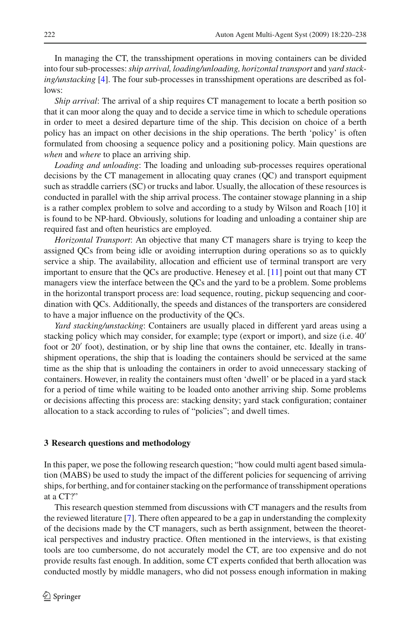In managing the CT, the transshipment operations in moving containers can be divided into four sub-processes:*ship arrival, loading/unloading, horizontal transport* and *yard stacking/unstacking* [\[4\]](#page-17-3). The four sub-processes in transshipment operations are described as follows:

*Ship arrival*: The arrival of a ship requires CT management to locate a berth position so that it can moor along the quay and to decide a service time in which to schedule operations in order to meet a desired departure time of the ship. This decision on choice of a berth policy has an impact on other decisions in the ship operations. The berth 'policy' is often formulated from choosing a sequence policy and a positioning policy. Main questions are *when* and *where* to place an arriving ship.

*Loading and unloading*: The loading and unloading sub-processes requires operational decisions by the CT management in allocating quay cranes (QC) and transport equipment such as straddle carriers (SC) or trucks and labor. Usually, the allocation of these resources is conducted in parallel with the ship arrival process. The container stowage planning in a ship is a rather complex problem to solve and according to a study by Wilson and Roach [10] it is found to be NP-hard. Obviously, solutions for loading and unloading a container ship are required fast and often heuristics are employed.

*Horizontal Transport*: An objective that many CT managers share is trying to keep the assigned QCs from being idle or avoiding interruption during operations so as to quickly service a ship. The availability, allocation and efficient use of terminal transport are very important to ensure that the QCs are productive. Henesey et al. [\[11](#page-17-9)] point out that many CT managers view the interface between the QCs and the yard to be a problem. Some problems in the horizontal transport process are: load sequence, routing, pickup sequencing and coordination with QCs. Additionally, the speeds and distances of the transporters are considered to have a major influence on the productivity of the QCs.

*Yard stacking/unstacking*: Containers are usually placed in different yard areas using a stacking policy which may consider, for example; type (export or import), and size (i.e.  $40'$ ) foot or 20' foot), destination, or by ship line that owns the container, etc. Ideally in transshipment operations, the ship that is loading the containers should be serviced at the same time as the ship that is unloading the containers in order to avoid unnecessary stacking of containers. However, in reality the containers must often 'dwell' or be placed in a yard stack for a period of time while waiting to be loaded onto another arriving ship. Some problems or decisions affecting this process are: stacking density; yard stack configuration; container allocation to a stack according to rules of "policies"; and dwell times.

### **3 Research questions and methodology**

In this paper, we pose the following research question; "how could multi agent based simulation (MABS) be used to study the impact of the different policies for sequencing of arriving ships, for berthing, and for container stacking on the performance of transshipment operations at a CT?"

This research question stemmed from discussions with CT managers and the results from the reviewed literature [\[7\]](#page-17-6). There often appeared to be a gap in understanding the complexity of the decisions made by the CT managers, such as berth assignment, between the theoretical perspectives and industry practice. Often mentioned in the interviews, is that existing tools are too cumbersome, do not accurately model the CT, are too expensive and do not provide results fast enough. In addition, some CT experts confided that berth allocation was conducted mostly by middle managers, who did not possess enough information in making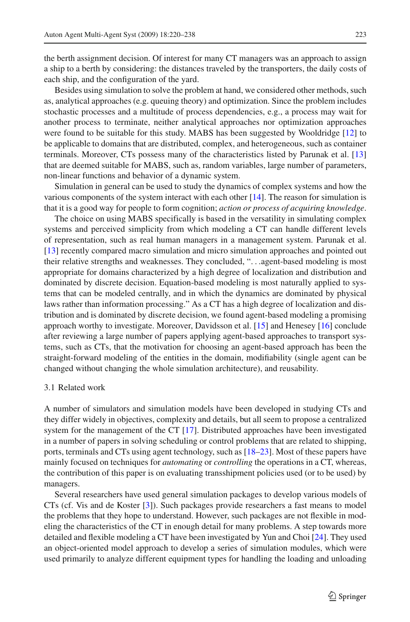the berth assignment decision. Of interest for many CT managers was an approach to assign a ship to a berth by considering: the distances traveled by the transporters, the daily costs of each ship, and the configuration of the yard.

Besides using simulation to solve the problem at hand, we considered other methods, such as, analytical approaches (e.g. queuing theory) and optimization. Since the problem includes stochastic processes and a multitude of process dependencies, e.g., a process may wait for another process to terminate, neither analytical approaches nor optimization approaches were found to be suitable for this study. MABS has been suggested by Wooldridge [\[12\]](#page-17-10) to be applicable to domains that are distributed, complex, and heterogeneous, such as container terminals. Moreover, CTs possess many of the characteristics listed by Parunak et al. [\[13\]](#page-17-11) that are deemed suitable for MABS, such as, random variables, large number of parameters, non-linear functions and behavior of a dynamic system.

Simulation in general can be used to study the dynamics of complex systems and how the various components of the system interact with each other [\[14](#page-17-12)]. The reason for simulation is that it is a good way for people to form cognition; *action or process of acquiring knowledge*.

The choice on using MABS specifically is based in the versatility in simulating complex systems and perceived simplicity from which modeling a CT can handle different levels of representation, such as real human managers in a management system. Parunak et al. [\[13\]](#page-17-11) recently compared macro simulation and micro simulation approaches and pointed out their relative strengths and weaknesses. They concluded, "*...*agent-based modeling is most appropriate for domains characterized by a high degree of localization and distribution and dominated by discrete decision. Equation-based modeling is most naturally applied to systems that can be modeled centrally, and in which the dynamics are dominated by physical laws rather than information processing." As a CT has a high degree of localization and distribution and is dominated by discrete decision, we found agent-based modeling a promising approach worthy to investigate. Moreover, Davidsson et al. [\[15\]](#page-17-13) and Henesey [\[16](#page-17-14)] conclude after reviewing a large number of papers applying agent-based approaches to transport systems, such as CTs, that the motivation for choosing an agent-based approach has been the straight-forward modeling of the entities in the domain, modifiability (single agent can be changed without changing the whole simulation architecture), and reusability.

#### 3.1 Related work

A number of simulators and simulation models have been developed in studying CTs and they differ widely in objectives, complexity and details, but all seem to propose a centralized system for the management of the CT [\[17\]](#page-17-15). Distributed approaches have been investigated in a number of papers in solving scheduling or control problems that are related to shipping, ports, terminals and CTs using agent technology, such as [\[18](#page-17-16)[–23](#page-17-17)]. Most of these papers have mainly focused on techniques for *automating* or *controlling* the operations in a CT, whereas, the contribution of this paper is on evaluating transshipment policies used (or to be used) by managers.

Several researchers have used general simulation packages to develop various models of CTs (cf. Vis and de Koster [\[3\]](#page-17-2)). Such packages provide researchers a fast means to model the problems that they hope to understand. However, such packages are not flexible in modeling the characteristics of the CT in enough detail for many problems. A step towards more detailed and flexible modeling a CT have been investigated by Yun and Choi [\[24\]](#page-17-18). They used an object-oriented model approach to develop a series of simulation modules, which were used primarily to analyze different equipment types for handling the loading and unloading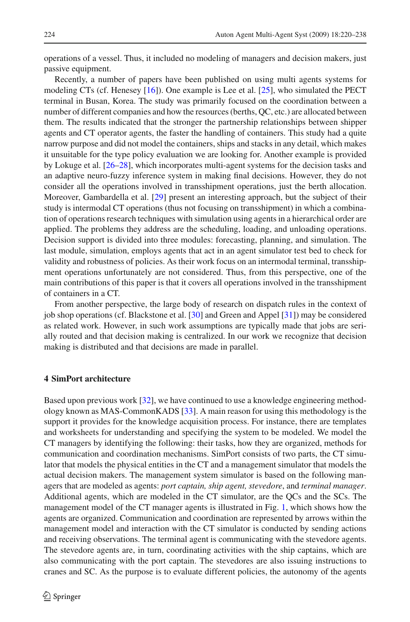operations of a vessel. Thus, it included no modeling of managers and decision makers, just passive equipment.

Recently, a number of papers have been published on using multi agents systems for modeling CTs (cf. Henesey  $[16]$ ). One example is Lee et al.  $[25]$ , who simulated the PECT terminal in Busan, Korea. The study was primarily focused on the coordination between a number of different companies and how the resources (berths, QC, etc.) are allocated between them. The results indicated that the stronger the partnership relationships between shipper agents and CT operator agents, the faster the handling of containers. This study had a quite narrow purpose and did not model the containers, ships and stacks in any detail, which makes it unsuitable for the type policy evaluation we are looking for. Another example is provided by Lokuge et al. [\[26](#page-18-0)[–28](#page-18-1)], which incorporates multi-agent systems for the decision tasks and an adaptive neuro-fuzzy inference system in making final decisions. However, they do not consider all the operations involved in transshipment operations, just the berth allocation. Moreover, Gambardella et al. [\[29](#page-18-2)] present an interesting approach, but the subject of their study is intermodal CT operations (thus not focusing on transshipment) in which a combination of operations research techniques with simulation using agents in a hierarchical order are applied. The problems they address are the scheduling, loading, and unloading operations. Decision support is divided into three modules: forecasting, planning, and simulation. The last module, simulation, employs agents that act in an agent simulator test bed to check for validity and robustness of policies. As their work focus on an intermodal terminal, transshipment operations unfortunately are not considered. Thus, from this perspective, one of the main contributions of this paper is that it covers all operations involved in the transshipment of containers in a CT.

From another perspective, the large body of research on dispatch rules in the context of job shop operations (cf. Blackstone et al. [\[30\]](#page-18-3) and Green and Appel [\[31](#page-18-4)]) may be considered as related work. However, in such work assumptions are typically made that jobs are serially routed and that decision making is centralized. In our work we recognize that decision making is distributed and that decisions are made in parallel.

#### **4 SimPort architecture**

Based upon previous work [\[32\]](#page-18-5), we have continued to use a knowledge engineering methodology known as MAS-CommonKADS [\[33\]](#page-18-6). A main reason for using this methodology is the support it provides for the knowledge acquisition process. For instance, there are templates and worksheets for understanding and specifying the system to be modeled. We model the CT managers by identifying the following: their tasks, how they are organized, methods for communication and coordination mechanisms. SimPort consists of two parts, the CT simulator that models the physical entities in the CT and a management simulator that models the actual decision makers. The management system simulator is based on the following managers that are modeled as agents: *port captain, ship agent, stevedore*, and *terminal manager*. Additional agents, which are modeled in the CT simulator, are the QCs and the SCs. The management model of the CT manager agents is illustrated in Fig. [1,](#page-5-0) which shows how the agents are organized. Communication and coordination are represented by arrows within the management model and interaction with the CT simulator is conducted by sending actions and receiving observations. The terminal agent is communicating with the stevedore agents. The stevedore agents are, in turn, coordinating activities with the ship captains, which are also communicating with the port captain. The stevedores are also issuing instructions to cranes and SC. As the purpose is to evaluate different policies, the autonomy of the agents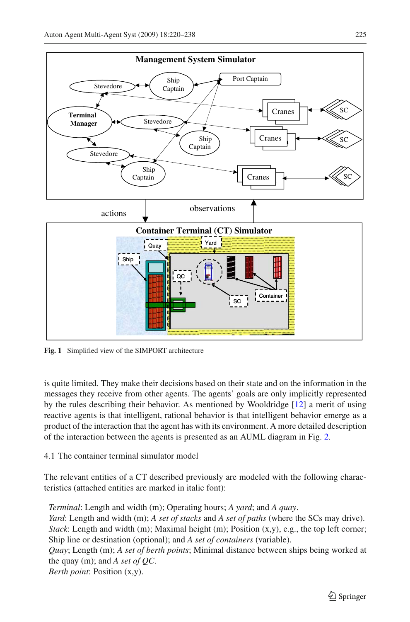

<span id="page-5-0"></span>**Fig. 1** Simplified view of the SIMPORT architecture

is quite limited. They make their decisions based on their state and on the information in the messages they receive from other agents. The agents' goals are only implicitly represented by the rules describing their behavior. As mentioned by Wooldridge [\[12](#page-17-10)] a merit of using reactive agents is that intelligent, rational behavior is that intelligent behavior emerge as a product of the interaction that the agent has with its environment. A more detailed description of the interaction between the agents is presented as an AUML diagram in Fig. [2.](#page-6-0)

# 4.1 The container terminal simulator model

The relevant entities of a CT described previously are modeled with the following characteristics (attached entities are marked in italic font):

*Terminal*: Length and width (m); Operating hours; *A yard*; and *A quay*. *Yard*: Length and width (m); *A set of stacks* and *A set of paths* (where the SCs may drive). *Stack*: Length and width (m); Maximal height (m); Position (x,y), e.g., the top left corner; Ship line or destination (optional); and *A set of containers* (variable). *Quay*; Length (m); *A set of berth points*; Minimal distance between ships being worked at the quay (m); and *A set of QC*.

*Berth point*: Position (x,y).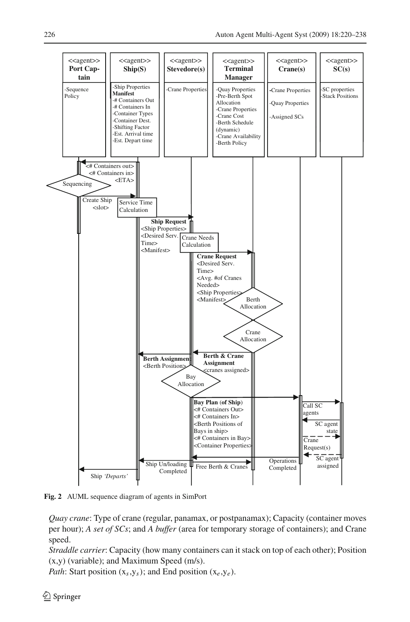

<span id="page-6-0"></span>**Fig. 2** AUML sequence diagram of agents in SimPort

*Quay crane*: Type of crane (regular, panamax, or postpanamax); Capacity (container moves per hour); *A set of SCs*; and *A buffer* (area for temporary storage of containers); and Crane speed.

*Straddle carrier*: Capacity (how many containers can it stack on top of each other); Position (x,y) (variable); and Maximum Speed (m/s).

*Path*: Start position  $(x_s, y_s)$ ; and End position  $(x_e, y_e)$ .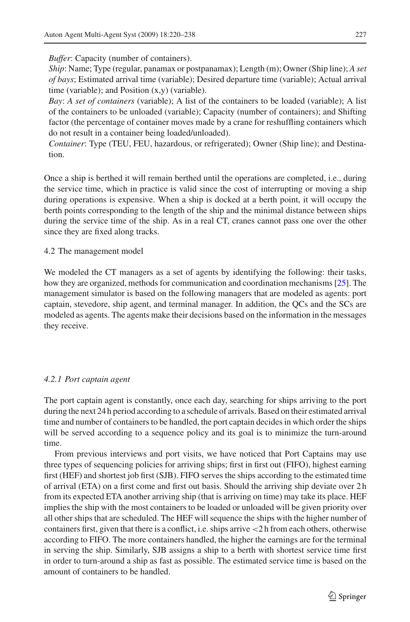*Buffer*: Capacity (number of containers).

*Ship*: Name; Type (regular, panamax or postpanamax); Length (m); Owner (Ship line); *A set of bays*; Estimated arrival time (variable); Desired departure time (variable); Actual arrival time (variable); and Position (x,y) (variable).

*Bay*: *A set of containers* (variable); A list of the containers to be loaded (variable); A list of the containers to be unloaded (variable); Capacity (number of containers); and Shifting factor (the percentage of container moves made by a crane for reshuffling containers which do not result in a container being loaded/unloaded).

*Container*: Type (TEU, FEU, hazardous, or refrigerated); Owner (Ship line); and Destination.

Once a ship is berthed it will remain berthed until the operations are completed, i.e., during the service time, which in practice is valid since the cost of interrupting or moving a ship during operations is expensive. When a ship is docked at a berth point, it will occupy the berth points corresponding to the length of the ship and the minimal distance between ships during the service time of the ship. As in a real CT, cranes cannot pass one over the other since they are fixed along tracks.

4.2 The management model

We modeled the CT managers as a set of agents by identifying the following: their tasks, how they are organized, methods for communication and coordination mechanisms [\[25](#page-17-19)]. The management simulator is based on the following managers that are modeled as agents: port captain, stevedore, ship agent, and terminal manager. In addition, the QCs and the SCs are modeled as agents. The agents make their decisions based on the information in the messages they receive.

# *4.2.1 Port captain agent*

The port captain agent is constantly, once each day, searching for ships arriving to the port during the next 24 h period according to a schedule of arrivals. Based on their estimated arrival time and number of containers to be handled, the port captain decides in which order the ships will be served according to a sequence policy and its goal is to minimize the turn-around time.

From previous interviews and port visits, we have noticed that Port Captains may use three types of sequencing policies for arriving ships; first in first out (FIFO), highest earning first (HEF) and shortest job first (SJB). FIFO serves the ships according to the estimated time of arrival (ETA) on a first come and first out basis. Should the arriving ship deviate over 2 h from its expected ETA another arriving ship (that is arriving on time) may take its place. HEF implies the ship with the most containers to be loaded or unloaded will be given priority over all other ships that are scheduled. The HEF will sequence the ships with the higher number of containers first, given that there is a conflict, i.e. ships arrive *<*2 h from each others, otherwise according to FIFO. The more containers handled, the higher the earnings are for the terminal in serving the ship. Similarly, SJB assigns a ship to a berth with shortest service time first in order to turn-around a ship as fast as possible. The estimated service time is based on the amount of containers to be handled.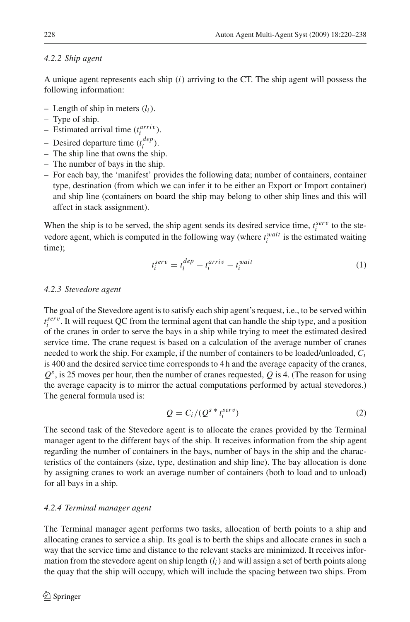# *4.2.2 Ship agent*

A unique agent represents each ship *(i)* arriving to the CT. The ship agent will possess the following information:

- $-$  Length of ship in meters  $(l_i)$ .
- Type of ship.
- $-$  Estimated arrival time  $(t_i^{arriv})$ .
- $-$  Desired departure time  $(t_i^{dep})$ .
- The ship line that owns the ship.
- The number of bays in the ship.
- For each bay, the 'manifest' provides the following data; number of containers, container type, destination (from which we can infer it to be either an Export or Import container) and ship line (containers on board the ship may belong to other ship lines and this will affect in stack assignment).

When the ship is to be served, the ship agent sends its desired service time,  $t_i^{serv}$  to the stevedore agent, which is computed in the following way (where  $t_i^{wait}$  is the estimated waiting time);

$$
t_i^{serv} = t_i^{dep} - t_i^{arriv} - t_i^{wait}
$$
\n<sup>(1)</sup>

## *4.2.3 Stevedore agent*

The goal of the Stevedore agent is to satisfy each ship agent's request, i.e., to be served within *t*<sup>ser</sup><sup>*v*</sup>. It will request QC from the terminal agent that can handle the ship type, and a position of the cranes in order to serve the bays in a ship while trying to meet the estimated desired service time. The crane request is based on a calculation of the average number of cranes needed to work the ship. For example, if the number of containers to be loaded/unloaded, *Ci* is 400 and the desired service time corresponds to 4 h and the average capacity of the cranes, *Qs*, is 25 moves per hour, then the number of cranes requested, *Q* is 4. (The reason for using the average capacity is to mirror the actual computations performed by actual stevedores.) The general formula used is:

$$
Q = C_i / (Q^{s *} t_i^{serv})
$$
 (2)

The second task of the Stevedore agent is to allocate the cranes provided by the Terminal manager agent to the different bays of the ship. It receives information from the ship agent regarding the number of containers in the bays, number of bays in the ship and the characteristics of the containers (size, type, destination and ship line). The bay allocation is done by assigning cranes to work an average number of containers (both to load and to unload) for all bays in a ship.

#### *4.2.4 Terminal manager agent*

The Terminal manager agent performs two tasks, allocation of berth points to a ship and allocating cranes to service a ship. Its goal is to berth the ships and allocate cranes in such a way that the service time and distance to the relevant stacks are minimized. It receives information from the stevedore agent on ship length  $(l_i)$  and will assign a set of berth points along the quay that the ship will occupy, which will include the spacing between two ships. From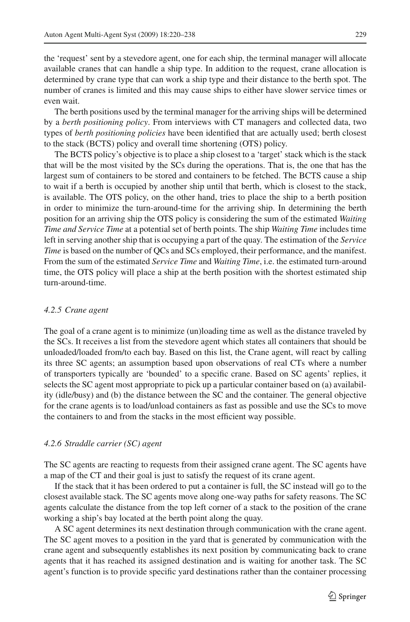the 'request' sent by a stevedore agent, one for each ship, the terminal manager will allocate available cranes that can handle a ship type. In addition to the request, crane allocation is determined by crane type that can work a ship type and their distance to the berth spot. The number of cranes is limited and this may cause ships to either have slower service times or even wait.

The berth positions used by the terminal manager for the arriving ships will be determined by a *berth positioning policy*. From interviews with CT managers and collected data, two types of *berth positioning policies* have been identified that are actually used; berth closest to the stack (BCTS) policy and overall time shortening (OTS) policy.

The BCTS policy's objective is to place a ship closest to a 'target' stack which is the stack that will be the most visited by the SCs during the operations. That is, the one that has the largest sum of containers to be stored and containers to be fetched. The BCTS cause a ship to wait if a berth is occupied by another ship until that berth, which is closest to the stack, is available. The OTS policy, on the other hand, tries to place the ship to a berth position in order to minimize the turn-around-time for the arriving ship. In determining the berth position for an arriving ship the OTS policy is considering the sum of the estimated *Waiting Time and Service Time* at a potential set of berth points. The ship *Waiting Time* includes time left in serving another ship that is occupying a part of the quay. The estimation of the *Service Time* is based on the number of QCs and SCs employed, their performance, and the manifest. From the sum of the estimated *Service Time* and *Waiting Time*, i.e. the estimated turn-around time, the OTS policy will place a ship at the berth position with the shortest estimated ship turn-around-time.

#### *4.2.5 Crane agent*

The goal of a crane agent is to minimize (un)loading time as well as the distance traveled by the SCs. It receives a list from the stevedore agent which states all containers that should be unloaded/loaded from/to each bay. Based on this list, the Crane agent, will react by calling its three SC agents; an assumption based upon observations of real CTs where a number of transporters typically are 'bounded' to a specific crane. Based on SC agents' replies, it selects the SC agent most appropriate to pick up a particular container based on (a) availability (idle/busy) and (b) the distance between the SC and the container. The general objective for the crane agents is to load/unload containers as fast as possible and use the SCs to move the containers to and from the stacks in the most efficient way possible.

# *4.2.6 Straddle carrier (SC) agent*

The SC agents are reacting to requests from their assigned crane agent. The SC agents have a map of the CT and their goal is just to satisfy the request of its crane agent.

If the stack that it has been ordered to put a container is full, the SC instead will go to the closest available stack. The SC agents move along one-way paths for safety reasons. The SC agents calculate the distance from the top left corner of a stack to the position of the crane working a ship's bay located at the berth point along the quay.

A SC agent determines its next destination through communication with the crane agent. The SC agent moves to a position in the yard that is generated by communication with the crane agent and subsequently establishes its next position by communicating back to crane agents that it has reached its assigned destination and is waiting for another task. The SC agent's function is to provide specific yard destinations rather than the container processing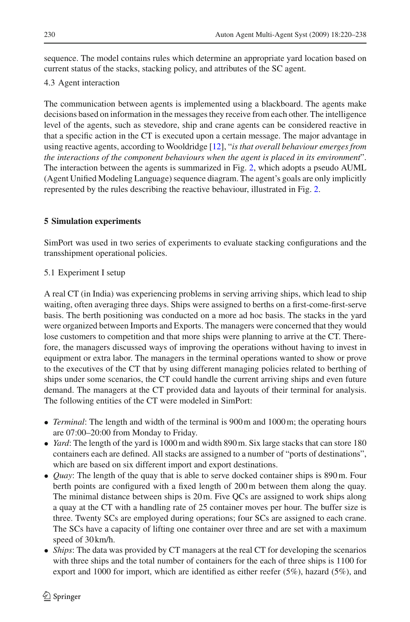sequence. The model contains rules which determine an appropriate yard location based on current status of the stacks, stacking policy, and attributes of the SC agent.

4.3 Agent interaction

The communication between agents is implemented using a blackboard. The agents make decisions based on information in the messages they receive from each other. The intelligence level of the agents, such as stevedore, ship and crane agents can be considered reactive in that a specific action in the CT is executed upon a certain message. The major advantage in using reactive agents, according to Wooldridge [\[12](#page-17-10)], "*is that overall behaviour emerges from the interactions of the component behaviours when the agent is placed in its environment*". The interaction between the agents is summarized in Fig. [2,](#page-6-0) which adopts a pseudo AUML (Agent Unified Modeling Language) sequence diagram. The agent's goals are only implicitly represented by the rules describing the reactive behaviour, illustrated in Fig. [2.](#page-6-0)

# **5 Simulation experiments**

SimPort was used in two series of experiments to evaluate stacking configurations and the transshipment operational policies.

# 5.1 Experiment I setup

A real CT (in India) was experiencing problems in serving arriving ships, which lead to ship waiting, often averaging three days. Ships were assigned to berths on a first-come-first-serve basis. The berth positioning was conducted on a more ad hoc basis. The stacks in the yard were organized between Imports and Exports. The managers were concerned that they would lose customers to competition and that more ships were planning to arrive at the CT. Therefore, the managers discussed ways of improving the operations without having to invest in equipment or extra labor. The managers in the terminal operations wanted to show or prove to the executives of the CT that by using different managing policies related to berthing of ships under some scenarios, the CT could handle the current arriving ships and even future demand. The managers at the CT provided data and layouts of their terminal for analysis. The following entities of the CT were modeled in SimPort:

- *Terminal*: The length and width of the terminal is 900 m and 1000 m; the operating hours are 07:00–20:00 from Monday to Friday.
- *Yard*: The length of the yard is 1000 m and width 890 m. Six large stacks that can store 180 containers each are defined. All stacks are assigned to a number of "ports of destinations", which are based on six different import and export destinations.
- *Quay*: The length of the quay that is able to serve docked container ships is 890 m. Four berth points are configured with a fixed length of 200 m between them along the quay. The minimal distance between ships is 20 m. Five QCs are assigned to work ships along a quay at the CT with a handling rate of 25 container moves per hour. The buffer size is three. Twenty SCs are employed during operations; four SCs are assigned to each crane. The SCs have a capacity of lifting one container over three and are set with a maximum speed of 30 km/h.
- *Ships*: The data was provided by CT managers at the real CT for developing the scenarios with three ships and the total number of containers for the each of three ships is 1100 for export and 1000 for import, which are identified as either reefer (5%), hazard (5%), and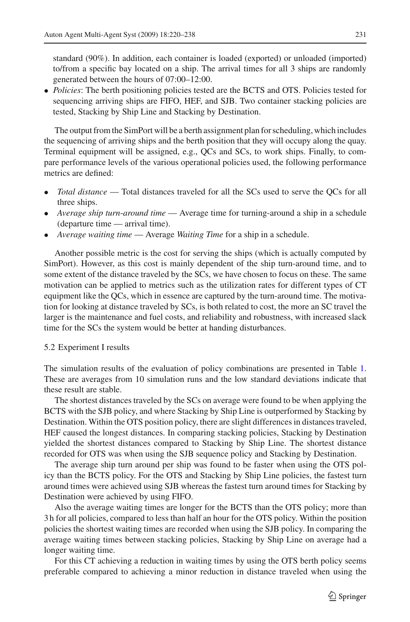standard (90%). In addition, each container is loaded (exported) or unloaded (imported) to/from a specific bay located on a ship. The arrival times for all 3 ships are randomly generated between the hours of 07:00–12:00.

• *Policies*: The berth positioning policies tested are the BCTS and OTS. Policies tested for sequencing arriving ships are FIFO, HEF, and SJB. Two container stacking policies are tested, Stacking by Ship Line and Stacking by Destination.

The output from the SimPort will be a berth assignment plan for scheduling, which includes the sequencing of arriving ships and the berth position that they will occupy along the quay. Terminal equipment will be assigned, e.g., QCs and SCs, to work ships. Finally, to compare performance levels of the various operational policies used, the following performance metrics are defined:

- *Total distance* Total distances traveled for all the SCs used to serve the QCs for all three ships.
- *Average ship turn*-*around time* Average time for turning-around a ship in a schedule (departure time — arrival time).
- *Average waiting time* Average *Waiting Time* for a ship in a schedule.

Another possible metric is the cost for serving the ships (which is actually computed by SimPort). However, as this cost is mainly dependent of the ship turn-around time, and to some extent of the distance traveled by the SCs, we have chosen to focus on these. The same motivation can be applied to metrics such as the utilization rates for different types of CT equipment like the QCs, which in essence are captured by the turn-around time. The motivation for looking at distance traveled by SCs, is both related to cost, the more an SC travel the larger is the maintenance and fuel costs, and reliability and robustness, with increased slack time for the SCs the system would be better at handing disturbances.

#### 5.2 Experiment I results

The simulation results of the evaluation of policy combinations are presented in Table [1.](#page-12-0) These are averages from 10 simulation runs and the low standard deviations indicate that these result are stable.

The shortest distances traveled by the SCs on average were found to be when applying the BCTS with the SJB policy, and where Stacking by Ship Line is outperformed by Stacking by Destination. Within the OTS position policy, there are slight differences in distances traveled, HEF caused the longest distances. In comparing stacking policies, Stacking by Destination yielded the shortest distances compared to Stacking by Ship Line. The shortest distance recorded for OTS was when using the SJB sequence policy and Stacking by Destination.

The average ship turn around per ship was found to be faster when using the OTS policy than the BCTS policy. For the OTS and Stacking by Ship Line policies, the fastest turn around times were achieved using SJB whereas the fastest turn around times for Stacking by Destination were achieved by using FIFO.

Also the average waiting times are longer for the BCTS than the OTS policy; more than 3 h for all policies, compared to less than half an hour for the OTS policy. Within the position policies the shortest waiting times are recorded when using the SJB policy. In comparing the average waiting times between stacking policies, Stacking by Ship Line on average had a longer waiting time.

For this CT achieving a reduction in waiting times by using the OTS berth policy seems preferable compared to achieving a minor reduction in distance traveled when using the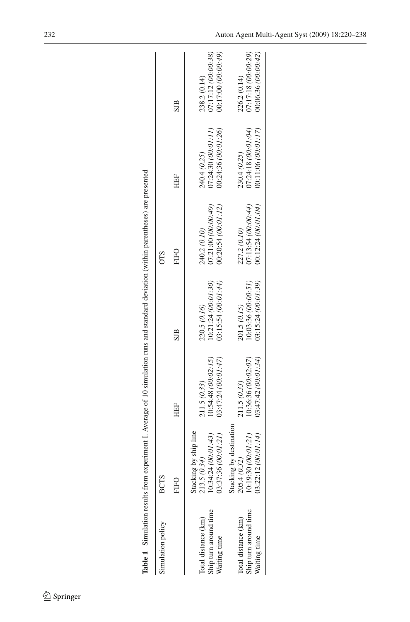<span id="page-12-0"></span>

| Simulation policy                     | <b>BCTS</b>                                  |                                           |                                            | ОTS                                        |                                            |                                            |
|---------------------------------------|----------------------------------------------|-------------------------------------------|--------------------------------------------|--------------------------------------------|--------------------------------------------|--------------------------------------------|
|                                       | <b>FIFO</b>                                  | HEF                                       | SIB                                        | EIFO                                       | HFF                                        | SIB                                        |
| Iotal distance (km)                   | Stacking by ship line<br>213.5(0.34)         | 211.5(0.33)                               | 220.5 (0.16)                               | 240.2 (0.10)                               | 240.4 (0.25)                               | 238.2 (0.14)                               |
| Ship turn around time<br>Waiting time | (00:01:21)<br>10:34:24(00:01:43)<br>33:37:36 | 03:47:24 (00:01:47)<br>10:54:48(00:02:15) | 03:15:54 (00:01:44)<br>10:21:24 (00:01:30) | 00:20:54 (00:01:12)<br>07:21:00 (00:00:49) | 00:24:36 (00:01:26)<br>07:24:30 (00:01:11) | 00:17:00 (00:00:49)<br>07:17:12 (00:00:38) |
| Total distance (km)                   | Stacking by destination<br>205.4 (0.32)      | 211.5(0.33)                               | 201.5 (0.15)                               | 227.2 (0.10)                               | 230.4 (0.25)                               | 226.2 (0.14)                               |
| Ship turn around time                 | 10:19:30(00:01:21)                           | 10:36:36 (00:02:07)                       | 10:03:36 (00:00:51)                        | 07:13:54(00:00:44)                         | 07:24:18 (00:01:04)                        | 07:17:18 (00:00:29)                        |
| Waiting time                          | (00:01:14)<br>33:22:12                       | 03:47:42 (00:01:34)                       | 03:15:24 (00:01:39)                        | 00:12:24 (00:01:04)                        | 00:11:06 (00:01:17)                        | 00:06:36 (00:00:42)                        |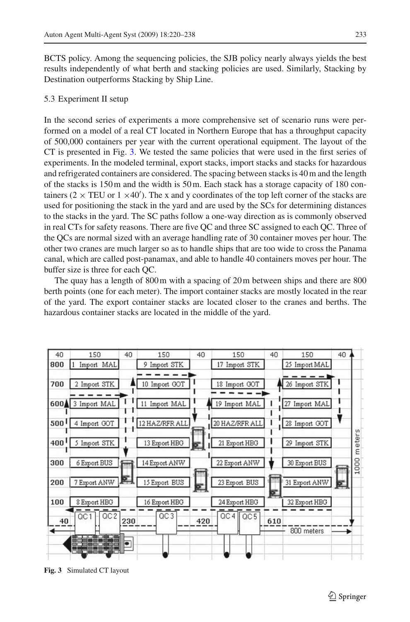# 5.3 Experiment II setup

In the second series of experiments a more comprehensive set of scenario runs were performed on a model of a real CT located in Northern Europe that has a throughput capacity of 500,000 containers per year with the current operational equipment. The layout of the CT is presented in Fig. [3.](#page-13-0) We tested the same policies that were used in the first series of experiments. In the modeled terminal, export stacks, import stacks and stacks for hazardous and refrigerated containers are considered. The spacing between stacks is 40 m and the length of the stacks is 150 m and the width is 50 m. Each stack has a storage capacity of 180 containers ( $2 \times \text{TEU}$  or  $1 \times 40'$ ). The x and y coordinates of the top left corner of the stacks are used for positioning the stack in the yard and are used by the SCs for determining distances to the stacks in the yard. The SC paths follow a one-way direction as is commonly observed in real CTs for safety reasons. There are five QC and three SC assigned to each QC. Three of the QCs are normal sized with an average handling rate of 30 container moves per hour. The other two cranes are much larger so as to handle ships that are too wide to cross the Panama canal, which are called post-panamax, and able to handle 40 containers moves per hour. The buffer size is three for each QC.

The quay has a length of 800 m with a spacing of 20 m between ships and there are 800 berth points (one for each meter). The import container stacks are mostly located in the rear of the yard. The export container stacks are located closer to the cranes and berths. The hazardous container stacks are located in the middle of the yard.

| 40               | 150                            | 40       | 150            | 40  | 150            | 40  | 150           | 40 |        |
|------------------|--------------------------------|----------|----------------|-----|----------------|-----|---------------|----|--------|
| 800              | Import MAL                     |          | 9 Import STK   |     | 17 Import STK  |     | 25 Import MAL |    |        |
| 700              | 2 Import STK                   |          | 10 Import GOT  |     | 18 Import GOT  |     | 26 Import STK |    |        |
|                  | 600 <sup>1</sup> 3 Import MAL  |          | 11 Import MAL  |     | 19 Import MAL  |     | 27 Import MAL |    |        |
| 500 <sup>1</sup> | 4 Import GOT                   |          | 12 HAZ/RFR ALL |     | 20 HAZ/RFR ALL |     | 28 Import GOT |    |        |
| 400 <sup>1</sup> | 5 Import STK                   |          | 13 Export HBG  |     | 21 Export HBG  |     | 29 Import STK |    | meters |
| 300              | 6 Export BUS                   |          | 14 Export ANW  |     | 22 Export ANW  |     | 30 Export BUS |    | 1000   |
| 200              | 7 Export ANW                   | p.,      | 15 Export BUS  |     | 23 Export BUS  |     | 31 Export ANW | þ. |        |
| 100              | 8 Export HBG                   |          | 16 Export HBG  |     | 24 Export HBG  |     | 32 Export HBG |    |        |
| 40               | OC2<br>QC <sub>1</sub><br>口楽コ風 | 230<br>٠ | OC3            | 420 | $OC4$ $OC5$    | 610 | 800 meters    |    |        |

<span id="page-13-0"></span>**Fig. 3** Simulated CT layout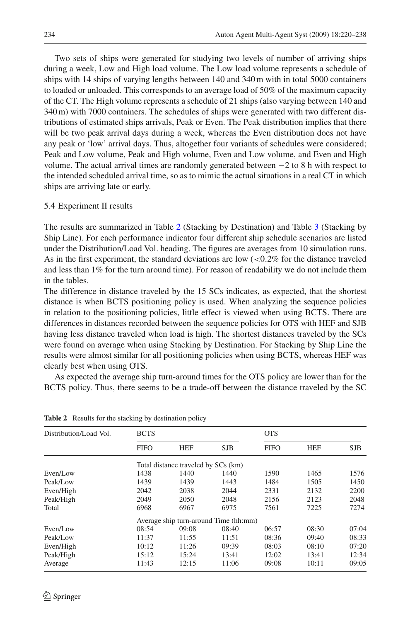Two sets of ships were generated for studying two levels of number of arriving ships during a week, Low and High load volume. The Low load volume represents a schedule of ships with 14 ships of varying lengths between 140 and 340 m with in total 5000 containers to loaded or unloaded. This corresponds to an average load of 50% of the maximum capacity of the CT. The High volume represents a schedule of 21 ships (also varying between 140 and 340 m) with 7000 containers. The schedules of ships were generated with two different distributions of estimated ships arrivals, Peak or Even. The Peak distribution implies that there will be two peak arrival days during a week, whereas the Even distribution does not have any peak or 'low' arrival days. Thus, altogether four variants of schedules were considered; Peak and Low volume, Peak and High volume, Even and Low volume, and Even and High volume. The actual arrival times are randomly generated between −2 to 8 h with respect to the intended scheduled arrival time, so as to mimic the actual situations in a real CT in which ships are arriving late or early.

## 5.4 Experiment II results

The results are summarized in Table [2](#page-14-0) (Stacking by Destination) and Table [3](#page-15-0) (Stacking by Ship Line). For each performance indicator four different ship schedule scenarios are listed under the Distribution/Load Vol. heading. The figures are averages from 10 simulation runs. As in the first experiment, the standard deviations are low (*<*0*.*2% for the distance traveled and less than 1% for the turn around time). For reason of readability we do not include them in the tables.

The difference in distance traveled by the 15 SCs indicates, as expected, that the shortest distance is when BCTS positioning policy is used. When analyzing the sequence policies in relation to the positioning policies, little effect is viewed when using BCTS. There are differences in distances recorded between the sequence policies for OTS with HEF and SJB having less distance traveled when load is high. The shortest distances traveled by the SCs were found on average when using Stacking by Destination. For Stacking by Ship Line the results were almost similar for all positioning policies when using BCTS, whereas HEF was clearly best when using OTS.

As expected the average ship turn-around times for the OTS policy are lower than for the BCTS policy. Thus, there seems to be a trade-off between the distance traveled by the SC

<span id="page-14-0"></span>

| Distribution/Load Vol. | <b>BCTS</b> |                                     |                                       | <b>OTS</b>  |            |            |
|------------------------|-------------|-------------------------------------|---------------------------------------|-------------|------------|------------|
|                        | <b>FIFO</b> | <b>HEF</b>                          | <b>SJB</b>                            | <b>FIFO</b> | <b>HEF</b> | <b>SJB</b> |
|                        |             | Total distance traveled by SCs (km) |                                       |             |            |            |
| Even/Low               | 1438        | 1440                                | 1440                                  | 1590        | 1465       | 1576       |
| Peak/Low               | 1439        | 1439                                | 1443                                  | 1484        | 1505       | 1450       |
| Even/High              | 2042        | 2038                                | 2044                                  | 2331        | 2132       | 2200       |
| Peak/High              | 2049        | 2050                                | 2048                                  | 2156        | 2123       | 2048       |
| Total                  | 6968        | 6967                                | 6975                                  | 7561        | 7225       | 7274       |
|                        |             |                                     | Average ship turn-around Time (hh:mm) |             |            |            |
| Even/Low               | 08:54       | 09:08                               | 08:40                                 | 06:57       | 08:30      | 07:04      |
| Peak/Low               | 11:37       | 11:55                               | 11:51                                 | 08:36       | (09:40)    | 08:33      |
| Even/High              | 10:12       | 11:26                               | 09:39                                 | 08:03       | 08:10      | 07:20      |
| Peak/High              | 15:12       | 15:24                               | 13:41                                 | 12:02       | 13:41      | 12:34      |
| Average                | 11:43       | 12:15                               | 11:06                                 | 09:08       | 10:11      | 09:05      |

**Table 2** Results for the stacking by destination policy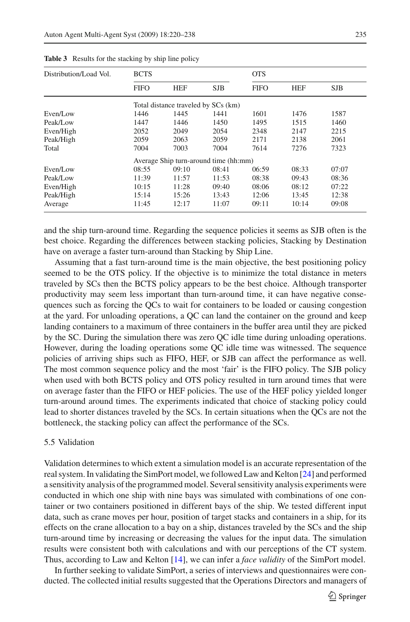<span id="page-15-0"></span>

| Distribution/Load Vol. | <b>BCTS</b> |                                       |            |             | <b>OTS</b> |            |  |
|------------------------|-------------|---------------------------------------|------------|-------------|------------|------------|--|
|                        | <b>FIFO</b> | <b>HEF</b>                            | <b>SJB</b> | <b>FIFO</b> | <b>HEF</b> | <b>SJB</b> |  |
|                        |             | Total distance traveled by SCs (km)   |            |             |            |            |  |
| Even/Low               | 1446        | 1445                                  | 1441       | 1601        | 1476       | 1587       |  |
| Peak/Low               | 1447        | 1446                                  | 1450       | 1495        | 1515       | 1460       |  |
| Even/High              | 2052        | 2049                                  | 2054       | 2348        | 2147       | 2215       |  |
| Peak/High              | 2059        | 2063                                  | 2059       | 2171        | 2138       | 2061       |  |
| Total                  | 7004        | 7003                                  | 7004       | 7614        | 7276       | 7323       |  |
|                        |             | Average Ship turn-around time (hh:mm) |            |             |            |            |  |
| Even/Low               | 08:55       | 09:10                                 | 08:41      | 06:59       | 08:33      | 07:07      |  |
| Peak/Low               | 11:39       | 11:57                                 | 11:53      | 08:38       | 09:43      | 08:36      |  |
| Even/High              | 10:15       | 11:28                                 | 09:40      | 08:06       | 08:12      | 07:22      |  |
| Peak/High              | 15:14       | 15:26                                 | 13:43      | 12:06       | 13:45      | 12:38      |  |
| Average                | 11:45       | 12:17                                 | 11:07      | 09:11       | 10:14      | 09:08      |  |

**Table 3** Results for the stacking by ship line policy

and the ship turn-around time. Regarding the sequence policies it seems as SJB often is the best choice. Regarding the differences between stacking policies, Stacking by Destination have on average a faster turn-around than Stacking by Ship Line.

Assuming that a fast turn-around time is the main objective, the best positioning policy seemed to be the OTS policy. If the objective is to minimize the total distance in meters traveled by SCs then the BCTS policy appears to be the best choice. Although transporter productivity may seem less important than turn-around time, it can have negative consequences such as forcing the QCs to wait for containers to be loaded or causing congestion at the yard. For unloading operations, a QC can land the container on the ground and keep landing containers to a maximum of three containers in the buffer area until they are picked by the SC. During the simulation there was zero QC idle time during unloading operations. However, during the loading operations some QC idle time was witnessed. The sequence policies of arriving ships such as FIFO, HEF, or SJB can affect the performance as well. The most common sequence policy and the most 'fair' is the FIFO policy. The SJB policy when used with both BCTS policy and OTS policy resulted in turn around times that were on average faster than the FIFO or HEF policies. The use of the HEF policy yielded longer turn-around around times. The experiments indicated that choice of stacking policy could lead to shorter distances traveled by the SCs. In certain situations when the QCs are not the bottleneck, the stacking policy can affect the performance of the SCs.

#### 5.5 Validation

Validation determines to which extent a simulation model is an accurate representation of the real system. In validating the SimPort model, we followed Law and Kelton [\[24\]](#page-17-18) and performed a sensitivity analysis of the programmed model. Several sensitivity analysis experiments were conducted in which one ship with nine bays was simulated with combinations of one container or two containers positioned in different bays of the ship. We tested different input data, such as crane moves per hour, position of target stacks and containers in a ship, for its effects on the crane allocation to a bay on a ship, distances traveled by the SCs and the ship turn-around time by increasing or decreasing the values for the input data. The simulation results were consistent both with calculations and with our perceptions of the CT system. Thus, according to Law and Kelton [\[14\]](#page-17-12), we can infer a *face validity* of the SimPort model.

In further seeking to validate SimPort, a series of interviews and questionnaires were conducted. The collected initial results suggested that the Operations Directors and managers of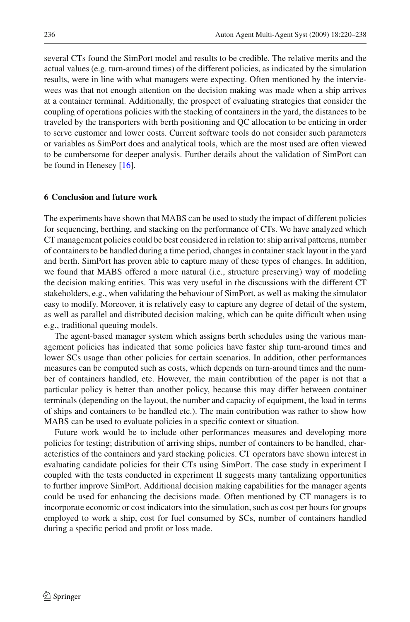several CTs found the SimPort model and results to be credible. The relative merits and the actual values (e.g. turn-around times) of the different policies, as indicated by the simulation results, were in line with what managers were expecting. Often mentioned by the interviewees was that not enough attention on the decision making was made when a ship arrives at a container terminal. Additionally, the prospect of evaluating strategies that consider the coupling of operations policies with the stacking of containers in the yard, the distances to be traveled by the transporters with berth positioning and QC allocation to be enticing in order to serve customer and lower costs. Current software tools do not consider such parameters or variables as SimPort does and analytical tools, which are the most used are often viewed to be cumbersome for deeper analysis. Further details about the validation of SimPort can be found in Henesey [\[16](#page-17-14)].

#### **6 Conclusion and future work**

The experiments have shown that MABS can be used to study the impact of different policies for sequencing, berthing, and stacking on the performance of CTs. We have analyzed which CT management policies could be best considered in relation to: ship arrival patterns, number of containers to be handled during a time period, changes in container stack layout in the yard and berth. SimPort has proven able to capture many of these types of changes. In addition, we found that MABS offered a more natural (i.e., structure preserving) way of modeling the decision making entities. This was very useful in the discussions with the different CT stakeholders, e.g., when validating the behaviour of SimPort, as well as making the simulator easy to modify. Moreover, it is relatively easy to capture any degree of detail of the system, as well as parallel and distributed decision making, which can be quite difficult when using e.g., traditional queuing models.

The agent-based manager system which assigns berth schedules using the various management policies has indicated that some policies have faster ship turn-around times and lower SCs usage than other policies for certain scenarios. In addition, other performances measures can be computed such as costs, which depends on turn-around times and the number of containers handled, etc. However, the main contribution of the paper is not that a particular policy is better than another policy, because this may differ between container terminals (depending on the layout, the number and capacity of equipment, the load in terms of ships and containers to be handled etc.). The main contribution was rather to show how MABS can be used to evaluate policies in a specific context or situation.

Future work would be to include other performances measures and developing more policies for testing; distribution of arriving ships, number of containers to be handled, characteristics of the containers and yard stacking policies. CT operators have shown interest in evaluating candidate policies for their CTs using SimPort. The case study in experiment I coupled with the tests conducted in experiment II suggests many tantalizing opportunities to further improve SimPort. Additional decision making capabilities for the manager agents could be used for enhancing the decisions made. Often mentioned by CT managers is to incorporate economic or cost indicators into the simulation, such as cost per hours for groups employed to work a ship, cost for fuel consumed by SCs, number of containers handled during a specific period and profit or loss made.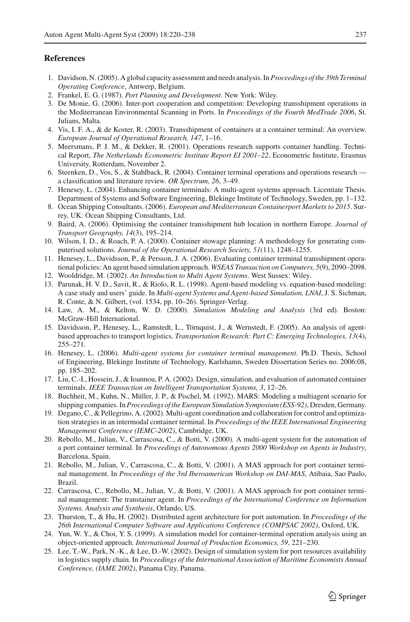#### <span id="page-17-0"></span>**References**

- 1. Davidson, N. (2005). A global capacity assessment and needs analysis. In*Proceedings of the 39th Terminal Operating Conference*, Antwerp, Belgium.
- <span id="page-17-1"></span>2. Frankel, E. G. (1987). *Port Planning and Development*. New York: Wiley.
- <span id="page-17-2"></span>3. De Monie, G. (2006). Inter-port cooperation and competition: Developing transshipment operations in the Mediterranean Environmental Scanning in Ports. In *Proceedings of the Fourth MedTrade 2006*, St. Julians, Malta.
- <span id="page-17-3"></span>4. Vis, I. F. A., & de Koster, R. (2003). Transshipment of containers at a container terminal: An overview. *European Journal of Operational Research, 147*, 1–16.
- <span id="page-17-4"></span>5. Meersmans, P. J. M., & Dekker, R. (2001). Operations research supports container handling. Technical Report, *The Netherlands Econometric Institute Report EI 2001–22*. Econometric Institute, Erasmus University, Rotterdam, November 2.
- <span id="page-17-5"></span>6. Steenken, D., Vos, S., & Stahlback, R. (2004). Container terminal operations and operations research a classification and literature review. *OR Spectrum, 26*, 3–49.
- <span id="page-17-6"></span>7. Henesey, L. (2004). Enhancing container terminals: A multi-agent systems approach. Licentiate Thesis. Department of Systems and Software Engineering, Blekinge Institute of Technology, Sweden, pp. 1–132.
- <span id="page-17-7"></span>8. Ocean Shipping Consultants. (2006). *European and Mediterranean Containerport Markets to 2015*. Surrey, UK: Ocean Shipping Consultants, Ltd.
- 9. Baird, A. (2006). Optimising the container transshipment hub location in northern Europe. *Journal of Transport Geography, 14*(3), 195–214.
- <span id="page-17-8"></span>10. Wilson, I. D., & Roach, P. A. (2000). Container stowage planning: A methodology for generating computerised solutions. *Journal of the Operational Research Society, 51*(11), 1248–1255.
- <span id="page-17-9"></span>11. Henesey, L., Davidsson, P., & Persson, J. A. (2006). Evaluating container terminal transshipment operational policies: An agent based simulation approach. *WSEAS Transaction on Computers, 5*(9), 2090–2098.
- <span id="page-17-10"></span>12. Wooldridge, M. (2002). *An Introduction to Multi Agent Systems*. West Sussex: Wiley.
- <span id="page-17-11"></span>13. Parunak, H. V. D., Savit, R., & Riolo, R. L. (1998). Agent-based modeling vs. equation-based modeling: A case study and users' guide. In *Multi-agent Systems and Agent-based Simulation, LNAI*, J. S. Sichman, R. Conte, & N. Gilbert, (vol. 1534, pp. 10–26). Springer-Verlag.
- <span id="page-17-12"></span>14. Law, A. M., & Kelton, W. D. (2000). *Simulation Modeling and Analysis* (3rd ed). Boston: McGraw-Hill International.
- <span id="page-17-13"></span>15. Davidsson, P., Henesey, L., Ramstedt, L., Törnquist, J., & Wernstedt, F. (2005). An analysis of agentbased approaches to transport logistics. *Transportation Research: Part C: Emerging Technologies, 13*(4), 255–271.
- <span id="page-17-14"></span>16. Henesey, L. (2006). *Multi-agent systems for container terminal management*. Ph.D. Thesis, School of Engineering, Blekinge Institute of Technology, Karlshamn, Sweden Dissertation Series no. 2006:08, pp. 185–202.
- <span id="page-17-15"></span>17. Liu, C.-I., Hossein, J., & Ioannou, P. A. (2002). Design, simulation, and evaluation of automated container terminals. *IEEE Transaction on Intelligent Transportation Systems, 3*, 12–26.
- <span id="page-17-16"></span>18. Buchheit, M., Kuhn, N., Müller, J. P., & Pischel, M. (1992). MARS: Modeling a multiagent scenario for shipping companies. In*Proceedings of the European Simulation Symposium (ESS-92)*, Dresden, Germany.
- 19. Degano, C., & Pellegrino, A. (2002). Multi-agent coordination and collaboration for control and optimization strategies in an intermodal container terminal. In *Proceedings of the IEEE International Engineering Management Conference (IEMC-2002)*, Cambridge, UK.
- 20. Rebollo, M., Julian, V., Carrascosa, C., & Botti, V. (2000). A multi-agent system for the automation of a port container terminal. In *Proceedings of Autonomous Agents 2000 Workshop on Agents in Industry*, Barcelona, Spain.
- 21. Rebollo, M., Julian, V., Carrascosa, C., & Botti, V. (2001). A MAS approach for port container terminal management. In *Proceedings of the 3rd Iberoamerican Workshop on DAI-MAS*, Atibaia, Sao Paulo, Brazil.
- 22. Carrascosa, C., Rebollo, M., Julian, V., & Botti, V. (2001). A MAS approach for port container terminal management: The transtainer agent. In *Proceedings of the International Conference on Information Systems, Analysis and Synthesis*, Orlando, US.
- <span id="page-17-17"></span>23. Thurston, T., & Hu, H. (2002). Distributed agent architecture for port automation. In *Proceedings of the 26th International Computer Software and Applications Conference (COMPSAC 2002)*, Oxford, UK.
- <span id="page-17-18"></span>24. Yun, W. Y., & Choi, Y. S. (1999). A simulation model for container-terminal operation analysis using an object-oriented approach. *International Journal of Production Economics, 59*, 221–230.
- <span id="page-17-19"></span>25. Lee, T.-W., Park, N.-K., & Lee, D.-W. (2002). Design of simulation system for port resources availability in logistics supply chain. In *Proceedings of the International Association of Maritime Economists Annual Conference, (IAME 2002)*, Panama City, Panama.